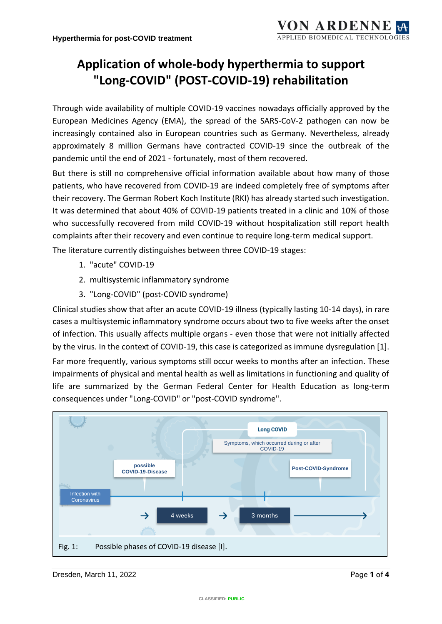## **Application of whole-body hyperthermia to support "Long-COVID" (POST-COVID-19) rehabilitation**

Through wide availability of multiple COVID-19 vaccines nowadays officially approved by the European Medicines Agency (EMA), the spread of the SARS-CoV-2 pathogen can now be increasingly contained also in European countries such as Germany. Nevertheless, already approximately 8 million Germans have contracted COVID-19 since the outbreak of the pandemic until the end of 2021 - fortunately, most of them recovered.

But there is still no comprehensive official information available about how many of those patients, who have recovered from COVID-19 are indeed completely free of symptoms after their recovery. The German Robert Koch Institute (RKI) has already started such investigation. It was determined that about 40% of COVID-19 patients treated in a clinic and 10% of those who successfully recovered from mild COVID-19 without hospitalization still report health complaints after their recovery and even continue to require long-term medical support.

The literature currently distinguishes between three COVID-19 stages:

- 1. "acute" COVID-19
- 2. multisystemic inflammatory syndrome
- 3. "Long-COVID" (post-COVID syndrome)

Clinical studies show that after an acute COVID-19 illness (typically lasting 10-14 days), in rare cases a multisystemic inflammatory syndrome occurs about two to five weeks after the onset of infection. This usually affects multiple organs - even those that were not initially affected by the virus. In the context of COVID-19, this case is categorized as immune dysregulation [1]. Far more frequently, various symptoms still occur weeks to months after an infection. These impairments of physical and mental health as well as limitations in functioning and quality of life are summarized by the German Federal Center for Health Education as long-term consequences under "Long-COVID" or "post-COVID syndrome".



**Dresden, March 11, 2022** Page 1 of 4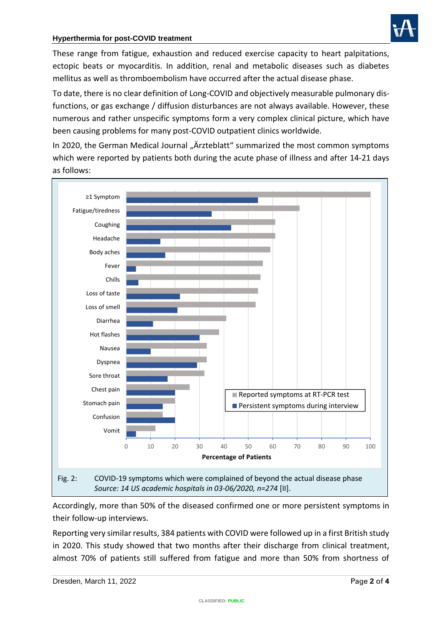

These range from fatigue, exhaustion and reduced exercise capacity to heart palpitations, ectopic beats or myocarditis. In addition, renal and metabolic diseases such as diabetes mellitus as well as thromboembolism have occurred after the actual disease phase.

To date, there is no clear definition of Long-COVID and objectively measurable pulmonary disfunctions, or gas exchange / diffusion disturbances are not always available. However, these numerous and rather unspecific symptoms form a very complex clinical picture, which have been causing problems for many post-COVID outpatient clinics worldwide.

In 2020, the German Medical Journal "Ärzteblatt" summarized the most common symptoms which were reported by patients both during the acute phase of illness and after 14-21 days as follows:



Accordingly, more than 50% of the diseased confirmed one or more persistent symptoms in their follow-up interviews.

Reporting very similar results, 384 patients with COVID were followed up in a first British study in 2020. This study showed that two months after their discharge from clinical treatment, almost 70% of patients still suffered from fatigue and more than 50% from shortness of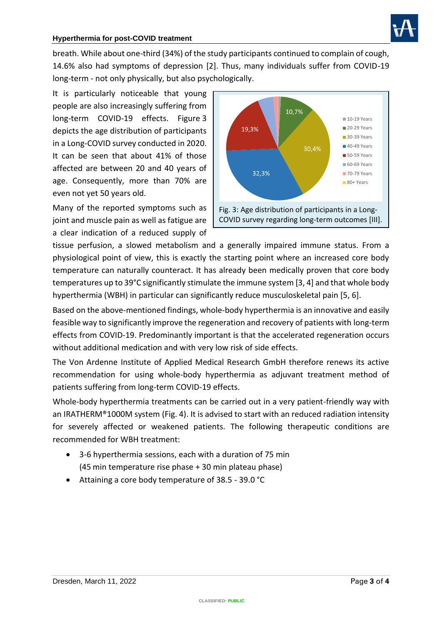

breath. While about one-third (34%) of the study participants continued to complain of cough, 14.6% also had symptoms of depression [2]. Thus, many individuals suffer from COVID-19 long-term - not only physically, but also psychologically.

It is particularly noticeable that young people are also increasingly suffering from long-term COVID-19 effects. Figure 3 depicts the age distribution of participants in a Long-COVID survey conducted in 2020. It can be seen that about 41% of those affected are between 20 and 40 years of age. Consequently, more than 70% are even not yet 50 years old.

Many of the reported symptoms such as joint and muscle pain as well as fatigue are a clear indication of a reduced supply of



tissue perfusion, a slowed metabolism and a generally impaired immune status. From a physiological point of view, this is exactly the starting point where an increased core body temperature can naturally counteract. It has already been medically proven that core body temperatures up to 39°C significantly stimulate the immune system [3, 4] and that whole body hyperthermia (WBH) in particular can significantly reduce musculoskeletal pain [5, 6].

Based on the above-mentioned findings, whole-body hyperthermia is an innovative and easily feasible way to significantly improve the regeneration and recovery of patients with long-term effects from COVID-19. Predominantly important is that the accelerated regeneration occurs without additional medication and with very low risk of side effects.

The Von Ardenne Institute of Applied Medical Research GmbH therefore renews its active recommendation for using whole-body hyperthermia as adjuvant treatment method of patients suffering from long-term COVID-19 effects.

Whole-body hyperthermia treatments can be carried out in a very patient-friendly way with an IRATHERM®1000M system (Fig. 4). It is advised to start with an reduced radiation intensity for severely affected or weakened patients. The following therapeutic conditions are recommended for WBH treatment:

- 3-6 hyperthermia sessions, each with a duration of 75 min (45 min temperature rise phase + 30 min plateau phase)
- Attaining a core body temperature of 38.5 39.0 °C